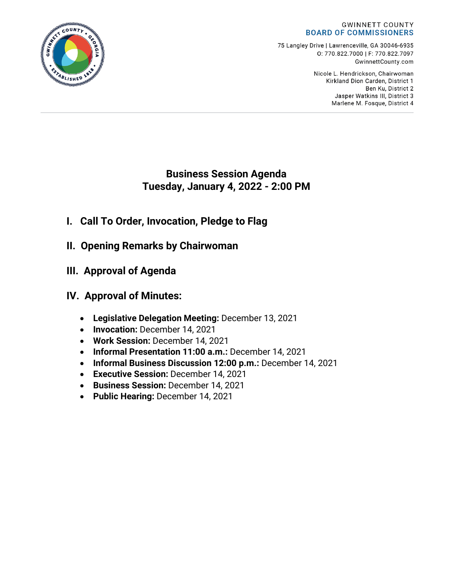

75 Langley Drive | Lawrenceville, GA 30046-6935 0:770.822.7000 | F: 770.822.7097 GwinnettCounty.com

> Nicole L. Hendrickson, Chairwoman Kirkland Dion Carden, District 1 Ben Ku. District 2 Jasper Watkins III, District 3 Marlene M. Fosque, District 4

# **Business Session Agenda Tuesday, January 4, 2022 - 2:00 PM**

- **I. Call To Order, Invocation, Pledge to Flag**
- **II. Opening Remarks by Chairwoman**
- **III. Approval of Agenda**
- **IV. Approval of Minutes:**
	- **Legislative Delegation Meeting:** December 13, 2021
	- **Invocation:** December 14, 2021
	- **Work Session:** December 14, 2021
	- **Informal Presentation 11:00 a.m.:** December 14, 2021
	- **Informal Business Discussion 12:00 p.m.:** December 14, 2021
	- **Executive Session:** December 14, 2021
	- **Business Session:** December 14, 2021
	- **Public Hearing:** December 14, 2021

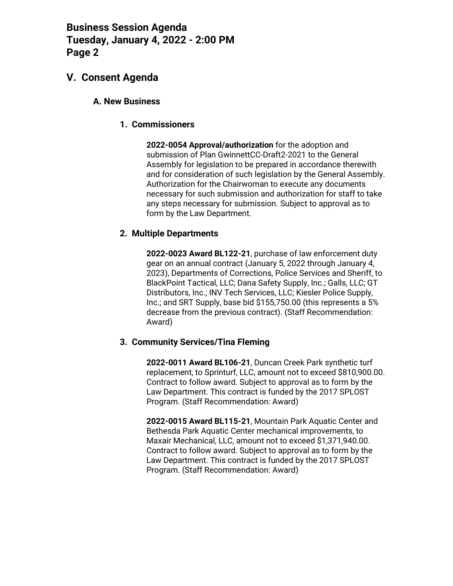## **V. Consent Agenda**

#### **A. New Business**

#### **1. Commissioners**

**2022-0054 Approval/authorization** for the adoption and submission of Plan GwinnettCC-Draft2-2021 to the General Assembly for legislation to be prepared in accordance therewith and for consideration of such legislation by the General Assembly. Authorization for the Chairwoman to execute any documents necessary for such submission and authorization for staff to take any steps necessary for submission. Subject to approval as to form by the Law Department.

#### **2. Multiple Departments**

**2022-0023 Award BL122-21**, purchase of law enforcement duty gear on an annual contract (January 5, 2022 through January 4, 2023), Departments of Corrections, Police Services and Sheriff, to BlackPoint Tactical, LLC; Dana Safety Supply, Inc.; Galls, LLC; GT Distributors, Inc.; INV Tech Services, LLC; Kiesler Police Supply, Inc.; and SRT Supply, base bid \$155,750.00 (this represents a 5% decrease from the previous contract). (Staff Recommendation: Award)

#### **3. Community Services/Tina Fleming**

**2022-0011 Award BL106-21**, Duncan Creek Park synthetic turf replacement, to Sprinturf, LLC, amount not to exceed \$810,900.00. Contract to follow award. Subject to approval as to form by the Law Department. This contract is funded by the 2017 SPLOST Program. (Staff Recommendation: Award)

**2022-0015 Award BL115-21**, Mountain Park Aquatic Center and Bethesda Park Aquatic Center mechanical improvements, to Maxair Mechanical, LLC, amount not to exceed \$1,371,940.00. Contract to follow award. Subject to approval as to form by the Law Department. This contract is funded by the 2017 SPLOST Program. (Staff Recommendation: Award)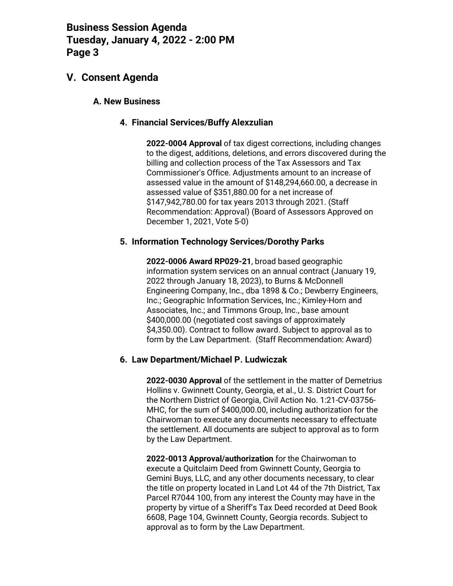## **V. Consent Agenda**

#### **A. New Business**

#### **4. Financial Services/Buffy Alexzulian**

**2022-0004 Approval** of tax digest corrections, including changes to the digest, additions, deletions, and errors discovered during the billing and collection process of the Tax Assessors and Tax Commissioner's Office. Adjustments amount to an increase of assessed value in the amount of \$148,294,660.00, a decrease in assessed value of \$351,880.00 for a net increase of \$147,942,780.00 for tax years 2013 through 2021. (Staff Recommendation: Approval) (Board of Assessors Approved on December 1, 2021, Vote 5-0)

#### **5. Information Technology Services/Dorothy Parks**

**2022-0006 Award RP029-21**, broad based geographic information system services on an annual contract (January 19, 2022 through January 18, 2023), to Burns & McDonnell Engineering Company, Inc., dba 1898 & Co.; Dewberry Engineers, Inc.; Geographic Information Services, Inc.; Kimley-Horn and Associates, Inc.; and Timmons Group, Inc., base amount \$400,000.00 (negotiated cost savings of approximately \$4,350.00). Contract to follow award. Subject to approval as to form by the Law Department. (Staff Recommendation: Award)

### **6. Law Department/Michael P. Ludwiczak**

**2022-0030 Approval** of the settlement in the matter of Demetrius Hollins v. Gwinnett County, Georgia, et al., U. S. District Court for the Northern District of Georgia, Civil Action No. 1:21-CV-03756- MHC, for the sum of \$400,000.00, including authorization for the Chairwoman to execute any documents necessary to effectuate the settlement. All documents are subject to approval as to form by the Law Department.

**2022-0013 Approval/authorization** for the Chairwoman to execute a Quitclaim Deed from Gwinnett County, Georgia to Gemini Buys, LLC, and any other documents necessary, to clear the title on property located in Land Lot 44 of the 7th District, Tax Parcel R7044 100, from any interest the County may have in the property by virtue of a Sheriff's Tax Deed recorded at Deed Book 6608, Page 104, Gwinnett County, Georgia records. Subject to approval as to form by the Law Department.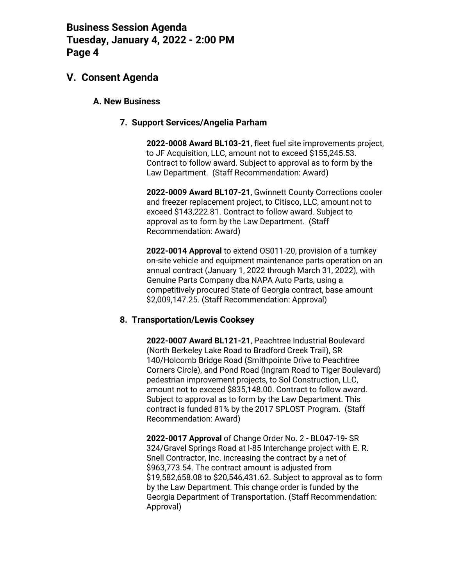## **V. Consent Agenda**

#### **A. New Business**

#### **7. Support Services/Angelia Parham**

**2022-0008 Award BL103-21**, fleet fuel site improvements project, to JF Acquisition, LLC, amount not to exceed \$155,245.53. Contract to follow award. Subject to approval as to form by the Law Department. (Staff Recommendation: Award)

**2022-0009 Award BL107-21**, Gwinnett County Corrections cooler and freezer replacement project, to Citisco, LLC, amount not to exceed \$143,222.81. Contract to follow award. Subject to approval as to form by the Law Department. (Staff Recommendation: Award)

**2022-0014 Approval** to extend OS011-20, provision of a turnkey on-site vehicle and equipment maintenance parts operation on an annual contract (January 1, 2022 through March 31, 2022), with Genuine Parts Company dba NAPA Auto Parts, using a competitively procured State of Georgia contract, base amount \$2,009,147.25. (Staff Recommendation: Approval)

#### **8. Transportation/Lewis Cooksey**

**2022-0007 Award BL121-21**, Peachtree Industrial Boulevard (North Berkeley Lake Road to Bradford Creek Trail), SR 140/Holcomb Bridge Road (Smithpointe Drive to Peachtree Corners Circle), and Pond Road (Ingram Road to Tiger Boulevard) pedestrian improvement projects, to Sol Construction, LLC, amount not to exceed \$835,148.00. Contract to follow award. Subject to approval as to form by the Law Department. This contract is funded 81% by the 2017 SPLOST Program. (Staff Recommendation: Award)

**2022-0017 Approval** of Change Order No. 2 - BL047-19- SR 324/Gravel Springs Road at I-85 Interchange project with E. R. Snell Contractor, Inc. increasing the contract by a net of \$963,773.54. The contract amount is adjusted from \$19,582,658.08 to \$20,546,431.62. Subject to approval as to form by the Law Department. This change order is funded by the Georgia Department of Transportation. (Staff Recommendation: Approval)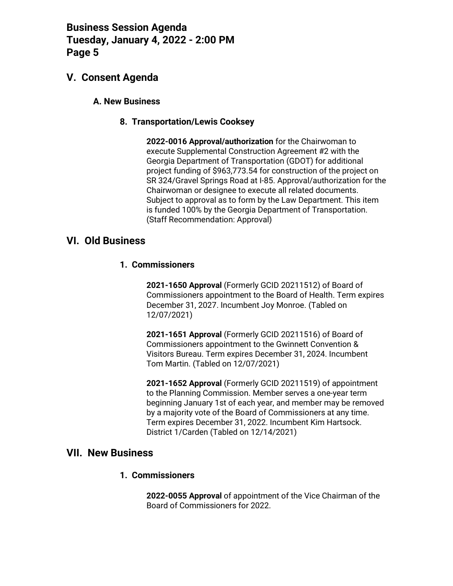## **V. Consent Agenda**

#### **A. New Business**

#### **8. Transportation/Lewis Cooksey**

**2022-0016 Approval/authorization** for the Chairwoman to execute Supplemental Construction Agreement #2 with the Georgia Department of Transportation (GDOT) for additional project funding of \$963,773.54 for construction of the project on SR 324/Gravel Springs Road at I-85. Approval/authorization for the Chairwoman or designee to execute all related documents. Subject to approval as to form by the Law Department. This item is funded 100% by the Georgia Department of Transportation. (Staff Recommendation: Approval)

## **VI. Old Business**

#### **1. Commissioners**

**2021-1650 Approval** (Formerly GCID 20211512) of Board of Commissioners appointment to the Board of Health. Term expires December 31, 2027. Incumbent Joy Monroe. (Tabled on 12/07/2021)

**2021-1651 Approval** (Formerly GCID 20211516) of Board of Commissioners appointment to the Gwinnett Convention & Visitors Bureau. Term expires December 31, 2024. Incumbent Tom Martin. (Tabled on 12/07/2021)

**2021-1652 Approval** (Formerly GCID 20211519) of appointment to the Planning Commission. Member serves a one-year term beginning January 1st of each year, and member may be removed by a majority vote of the Board of Commissioners at any time. Term expires December 31, 2022. Incumbent Kim Hartsock. District 1/Carden (Tabled on 12/14/2021)

### **VII. New Business**

#### **1. Commissioners**

**2022-0055 Approval** of appointment of the Vice Chairman of the Board of Commissioners for 2022.